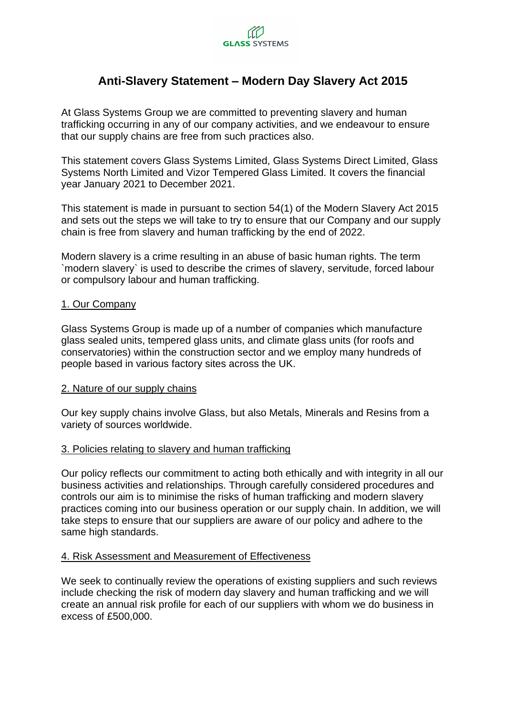

# **Anti-Slavery Statement – Modern Day Slavery Act 2015**

At Glass Systems Group we are committed to preventing slavery and human trafficking occurring in any of our company activities, and we endeavour to ensure that our supply chains are free from such practices also.

This statement covers Glass Systems Limited, Glass Systems Direct Limited, Glass Systems North Limited and Vizor Tempered Glass Limited. It covers the financial year January 2021 to December 2021.

This statement is made in pursuant to section 54(1) of the Modern Slavery Act 2015 and sets out the steps we will take to try to ensure that our Company and our supply chain is free from slavery and human trafficking by the end of 2022.

Modern slavery is a crime resulting in an abuse of basic human rights. The term `modern slavery` is used to describe the crimes of slavery, servitude, forced labour or compulsory labour and human trafficking.

#### 1. Our Company

Glass Systems Group is made up of a number of companies which manufacture glass sealed units, tempered glass units, and climate glass units (for roofs and conservatories) within the construction sector and we employ many hundreds of people based in various factory sites across the UK.

#### 2. Nature of our supply chains

Our key supply chains involve Glass, but also Metals, Minerals and Resins from a variety of sources worldwide.

#### 3. Policies relating to slavery and human trafficking

Our policy reflects our commitment to acting both ethically and with integrity in all our business activities and relationships. Through carefully considered procedures and controls our aim is to minimise the risks of human trafficking and modern slavery practices coming into our business operation or our supply chain. In addition, we will take steps to ensure that our suppliers are aware of our policy and adhere to the same high standards.

## 4. Risk Assessment and Measurement of Effectiveness

We seek to continually review the operations of existing suppliers and such reviews include checking the risk of modern day slavery and human trafficking and we will create an annual risk profile for each of our suppliers with whom we do business in excess of £500,000.